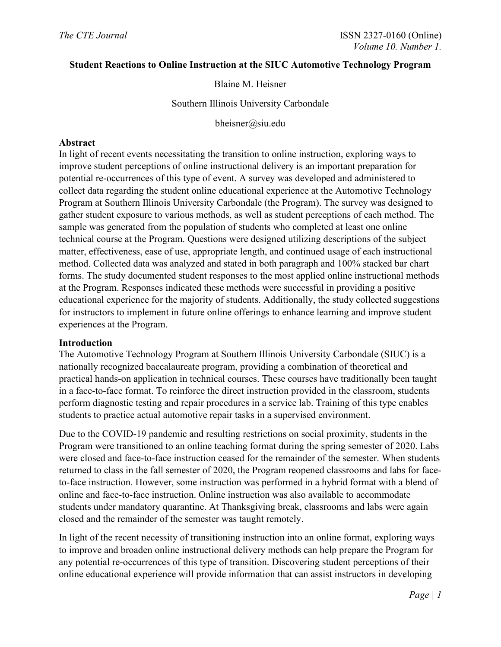## **Student Reactions to Online Instruction at the SIUC Automotive Technology Program**

# Blaine M. Heisner

Southern Illinois University Carbondale

bheisner@siu.edu

#### **Abstract**

In light of recent events necessitating the transition to online instruction, exploring ways to improve student perceptions of online instructional delivery is an important preparation for potential re-occurrences of this type of event. A survey was developed and administered to collect data regarding the student online educational experience at the Automotive Technology Program at Southern Illinois University Carbondale (the Program). The survey was designed to gather student exposure to various methods, as well as student perceptions of each method. The sample was generated from the population of students who completed at least one online technical course at the Program. Questions were designed utilizing descriptions of the subject matter, effectiveness, ease of use, appropriate length, and continued usage of each instructional method. Collected data was analyzed and stated in both paragraph and 100% stacked bar chart forms. The study documented student responses to the most applied online instructional methods at the Program. Responses indicated these methods were successful in providing a positive educational experience for the majority of students. Additionally, the study collected suggestions for instructors to implement in future online offerings to enhance learning and improve student experiences at the Program.

#### **Introduction**

The Automotive Technology Program at Southern Illinois University Carbondale (SIUC) is a nationally recognized baccalaureate program, providing a combination of theoretical and practical hands-on application in technical courses. These courses have traditionally been taught in a face-to-face format. To reinforce the direct instruction provided in the classroom, students perform diagnostic testing and repair procedures in a service lab. Training of this type enables students to practice actual automotive repair tasks in a supervised environment.

Due to the COVID-19 pandemic and resulting restrictions on social proximity, students in the Program were transitioned to an online teaching format during the spring semester of 2020. Labs were closed and face-to-face instruction ceased for the remainder of the semester. When students returned to class in the fall semester of 2020, the Program reopened classrooms and labs for faceto-face instruction. However, some instruction was performed in a hybrid format with a blend of online and face-to-face instruction. Online instruction was also available to accommodate students under mandatory quarantine. At Thanksgiving break, classrooms and labs were again closed and the remainder of the semester was taught remotely.

In light of the recent necessity of transitioning instruction into an online format, exploring ways to improve and broaden online instructional delivery methods can help prepare the Program for any potential re-occurrences of this type of transition. Discovering student perceptions of their online educational experience will provide information that can assist instructors in developing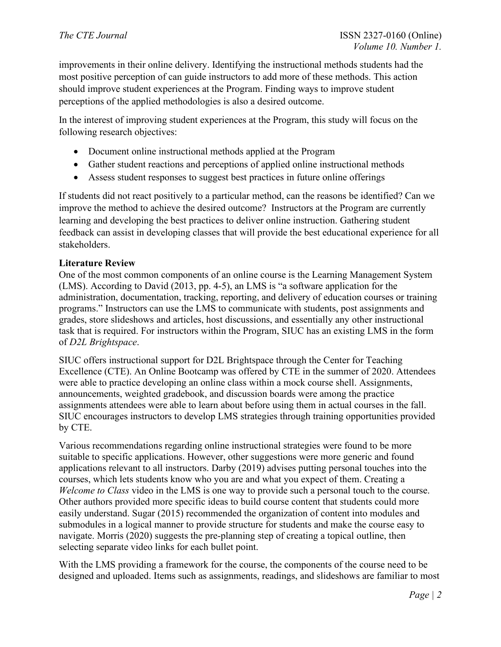improvements in their online delivery. Identifying the instructional methods students had the most positive perception of can guide instructors to add more of these methods. This action should improve student experiences at the Program. Finding ways to improve student perceptions of the applied methodologies is also a desired outcome.

In the interest of improving student experiences at the Program, this study will focus on the following research objectives:

- Document online instructional methods applied at the Program
- Gather student reactions and perceptions of applied online instructional methods
- Assess student responses to suggest best practices in future online offerings

If students did not react positively to a particular method, can the reasons be identified? Can we improve the method to achieve the desired outcome? Instructors at the Program are currently learning and developing the best practices to deliver online instruction. Gathering student feedback can assist in developing classes that will provide the best educational experience for all stakeholders.

## **Literature Review**

One of the most common components of an online course is the Learning Management System (LMS). According to David (2013, pp. 4-5), an LMS is "a software application for the administration, documentation, tracking, reporting, and delivery of education courses or training programs." Instructors can use the LMS to communicate with students, post assignments and grades, store slideshows and articles, host discussions, and essentially any other instructional task that is required. For instructors within the Program, SIUC has an existing LMS in the form of *D2L Brightspace*.

SIUC offers instructional support for D2L Brightspace through the Center for Teaching Excellence (CTE). An Online Bootcamp was offered by CTE in the summer of 2020. Attendees were able to practice developing an online class within a mock course shell. Assignments, announcements, weighted gradebook, and discussion boards were among the practice assignments attendees were able to learn about before using them in actual courses in the fall. SIUC encourages instructors to develop LMS strategies through training opportunities provided by CTE.

Various recommendations regarding online instructional strategies were found to be more suitable to specific applications. However, other suggestions were more generic and found applications relevant to all instructors. Darby (2019) advises putting personal touches into the courses, which lets students know who you are and what you expect of them. Creating a *Welcome to Class* video in the LMS is one way to provide such a personal touch to the course. Other authors provided more specific ideas to build course content that students could more easily understand. Sugar (2015) recommended the organization of content into modules and submodules in a logical manner to provide structure for students and make the course easy to navigate. Morris (2020) suggests the pre-planning step of creating a topical outline, then selecting separate video links for each bullet point.

With the LMS providing a framework for the course, the components of the course need to be designed and uploaded. Items such as assignments, readings, and slideshows are familiar to most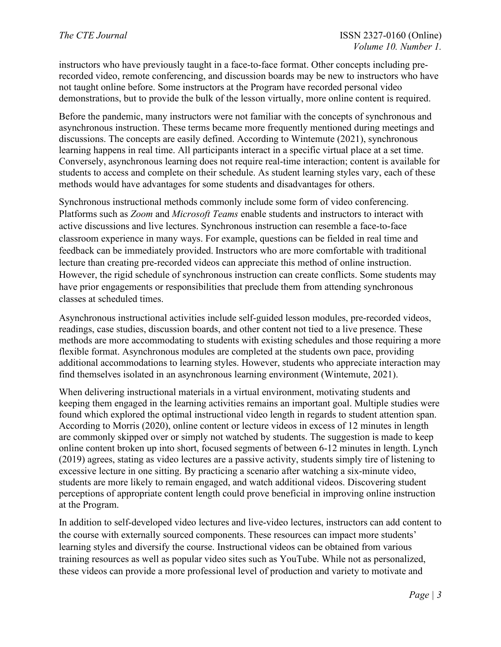instructors who have previously taught in a face-to-face format. Other concepts including prerecorded video, remote conferencing, and discussion boards may be new to instructors who have not taught online before. Some instructors at the Program have recorded personal video demonstrations, but to provide the bulk of the lesson virtually, more online content is required.

Before the pandemic, many instructors were not familiar with the concepts of synchronous and asynchronous instruction. These terms became more frequently mentioned during meetings and discussions. The concepts are easily defined. According to Wintemute (2021), synchronous learning happens in real time. All participants interact in a specific virtual place at a set time. Conversely, asynchronous learning does not require real-time interaction; content is available for students to access and complete on their schedule. As student learning styles vary, each of these methods would have advantages for some students and disadvantages for others.

Synchronous instructional methods commonly include some form of video conferencing. Platforms such as *Zoom* and *Microsoft Teams* enable students and instructors to interact with active discussions and live lectures. Synchronous instruction can resemble a face-to-face classroom experience in many ways. For example, questions can be fielded in real time and feedback can be immediately provided. Instructors who are more comfortable with traditional lecture than creating pre-recorded videos can appreciate this method of online instruction. However, the rigid schedule of synchronous instruction can create conflicts. Some students may have prior engagements or responsibilities that preclude them from attending synchronous classes at scheduled times.

Asynchronous instructional activities include self-guided lesson modules, pre-recorded videos, readings, case studies, discussion boards, and other content not tied to a live presence. These methods are more accommodating to students with existing schedules and those requiring a more flexible format. Asynchronous modules are completed at the students own pace, providing additional accommodations to learning styles. However, students who appreciate interaction may find themselves isolated in an asynchronous learning environment (Wintemute, 2021).

When delivering instructional materials in a virtual environment, motivating students and keeping them engaged in the learning activities remains an important goal. Multiple studies were found which explored the optimal instructional video length in regards to student attention span. According to Morris (2020), online content or lecture videos in excess of 12 minutes in length are commonly skipped over or simply not watched by students. The suggestion is made to keep online content broken up into short, focused segments of between 6-12 minutes in length. Lynch (2019) agrees, stating as video lectures are a passive activity, students simply tire of listening to excessive lecture in one sitting. By practicing a scenario after watching a six-minute video, students are more likely to remain engaged, and watch additional videos. Discovering student perceptions of appropriate content length could prove beneficial in improving online instruction at the Program.

In addition to self-developed video lectures and live-video lectures, instructors can add content to the course with externally sourced components. These resources can impact more students' learning styles and diversify the course. Instructional videos can be obtained from various training resources as well as popular video sites such as YouTube. While not as personalized, these videos can provide a more professional level of production and variety to motivate and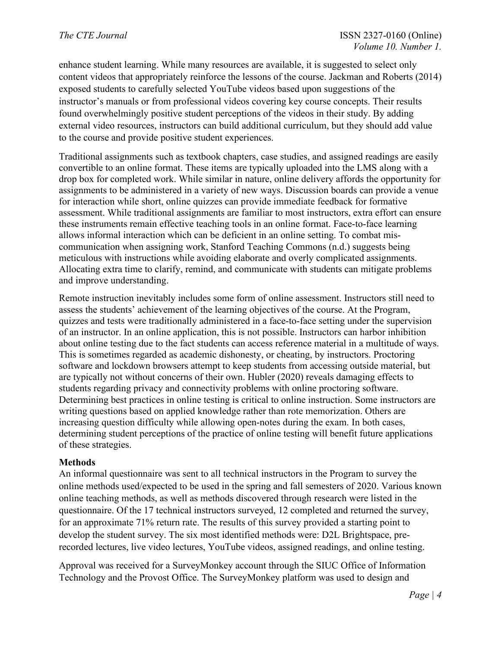enhance student learning. While many resources are available, it is suggested to select only content videos that appropriately reinforce the lessons of the course. Jackman and Roberts (2014) exposed students to carefully selected YouTube videos based upon suggestions of the instructor's manuals or from professional videos covering key course concepts. Their results found overwhelmingly positive student perceptions of the videos in their study. By adding external video resources, instructors can build additional curriculum, but they should add value to the course and provide positive student experiences.

Traditional assignments such as textbook chapters, case studies, and assigned readings are easily convertible to an online format. These items are typically uploaded into the LMS along with a drop box for completed work. While similar in nature, online delivery affords the opportunity for assignments to be administered in a variety of new ways. Discussion boards can provide a venue for interaction while short, online quizzes can provide immediate feedback for formative assessment. While traditional assignments are familiar to most instructors, extra effort can ensure these instruments remain effective teaching tools in an online format. Face-to-face learning allows informal interaction which can be deficient in an online setting. To combat miscommunication when assigning work, Stanford Teaching Commons (n.d.) suggests being meticulous with instructions while avoiding elaborate and overly complicated assignments. Allocating extra time to clarify, remind, and communicate with students can mitigate problems and improve understanding.

Remote instruction inevitably includes some form of online assessment. Instructors still need to assess the students' achievement of the learning objectives of the course. At the Program, quizzes and tests were traditionally administered in a face-to-face setting under the supervision of an instructor. In an online application, this is not possible. Instructors can harbor inhibition about online testing due to the fact students can access reference material in a multitude of ways. This is sometimes regarded as academic dishonesty, or cheating, by instructors. Proctoring software and lockdown browsers attempt to keep students from accessing outside material, but are typically not without concerns of their own. Hubler (2020) reveals damaging effects to students regarding privacy and connectivity problems with online proctoring software. Determining best practices in online testing is critical to online instruction. Some instructors are writing questions based on applied knowledge rather than rote memorization. Others are increasing question difficulty while allowing open-notes during the exam. In both cases, determining student perceptions of the practice of online testing will benefit future applications of these strategies.

## **Methods**

An informal questionnaire was sent to all technical instructors in the Program to survey the online methods used/expected to be used in the spring and fall semesters of 2020. Various known online teaching methods, as well as methods discovered through research were listed in the questionnaire. Of the 17 technical instructors surveyed, 12 completed and returned the survey, for an approximate 71% return rate. The results of this survey provided a starting point to develop the student survey. The six most identified methods were: D2L Brightspace, prerecorded lectures, live video lectures, YouTube videos, assigned readings, and online testing.

Approval was received for a SurveyMonkey account through the SIUC Office of Information Technology and the Provost Office. The SurveyMonkey platform was used to design and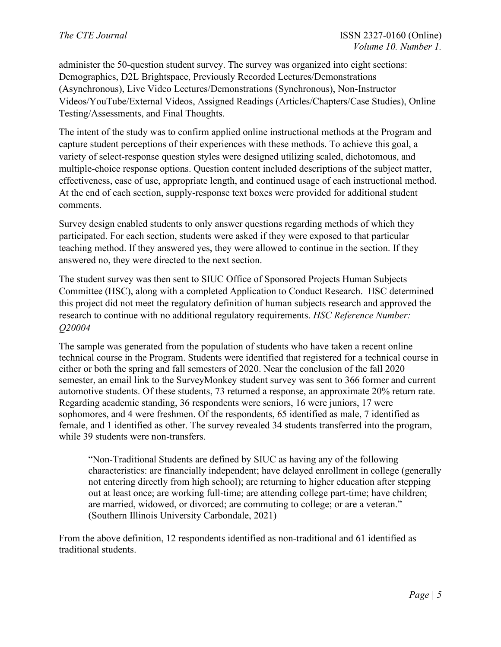administer the 50-question student survey. The survey was organized into eight sections: Demographics, D2L Brightspace, Previously Recorded Lectures/Demonstrations (Asynchronous), Live Video Lectures/Demonstrations (Synchronous), Non-Instructor Videos/YouTube/External Videos, Assigned Readings (Articles/Chapters/Case Studies), Online Testing/Assessments, and Final Thoughts.

The intent of the study was to confirm applied online instructional methods at the Program and capture student perceptions of their experiences with these methods. To achieve this goal, a variety of select-response question styles were designed utilizing scaled, dichotomous, and multiple-choice response options. Question content included descriptions of the subject matter, effectiveness, ease of use, appropriate length, and continued usage of each instructional method. At the end of each section, supply-response text boxes were provided for additional student comments.

Survey design enabled students to only answer questions regarding methods of which they participated. For each section, students were asked if they were exposed to that particular teaching method. If they answered yes, they were allowed to continue in the section. If they answered no, they were directed to the next section.

The student survey was then sent to SIUC Office of Sponsored Projects Human Subjects Committee (HSC), along with a completed Application to Conduct Research. HSC determined this project did not meet the regulatory definition of human subjects research and approved the research to continue with no additional regulatory requirements. *HSC Reference Number: Q20004*

The sample was generated from the population of students who have taken a recent online technical course in the Program. Students were identified that registered for a technical course in either or both the spring and fall semesters of 2020. Near the conclusion of the fall 2020 semester, an email link to the SurveyMonkey student survey was sent to 366 former and current automotive students. Of these students, 73 returned a response, an approximate 20% return rate. Regarding academic standing, 36 respondents were seniors, 16 were juniors, 17 were sophomores, and 4 were freshmen. Of the respondents, 65 identified as male, 7 identified as female, and 1 identified as other. The survey revealed 34 students transferred into the program, while 39 students were non-transfers.

"Non-Traditional Students are defined by SIUC as having any of the following characteristics: are financially independent; have delayed enrollment in college (generally not entering directly from high school); are returning to higher education after stepping out at least once; are working full-time; are attending college part-time; have children; are married, widowed, or divorced; are commuting to college; or are a veteran." (Southern Illinois University Carbondale, 2021)

From the above definition, 12 respondents identified as non-traditional and 61 identified as traditional students.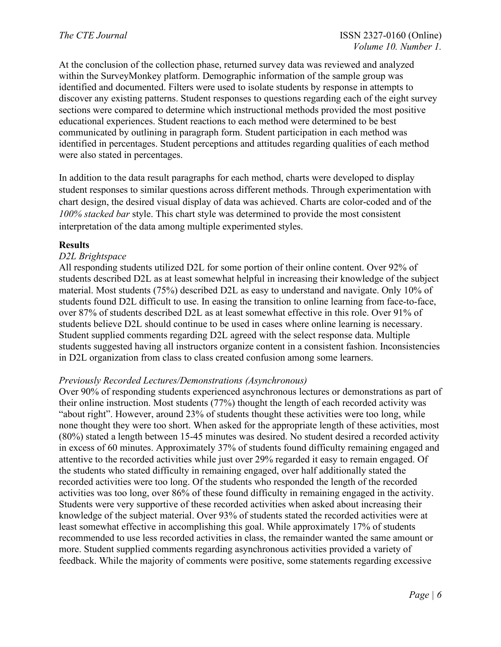At the conclusion of the collection phase, returned survey data was reviewed and analyzed within the SurveyMonkey platform. Demographic information of the sample group was identified and documented. Filters were used to isolate students by response in attempts to discover any existing patterns. Student responses to questions regarding each of the eight survey sections were compared to determine which instructional methods provided the most positive educational experiences. Student reactions to each method were determined to be best communicated by outlining in paragraph form. Student participation in each method was identified in percentages. Student perceptions and attitudes regarding qualities of each method were also stated in percentages.

In addition to the data result paragraphs for each method, charts were developed to display student responses to similar questions across different methods. Through experimentation with chart design, the desired visual display of data was achieved. Charts are color-coded and of the *100% stacked bar* style. This chart style was determined to provide the most consistent interpretation of the data among multiple experimented styles.

## **Results**

# *D2L Brightspace*

All responding students utilized D2L for some portion of their online content. Over 92% of students described D2L as at least somewhat helpful in increasing their knowledge of the subject material. Most students (75%) described D2L as easy to understand and navigate. Only 10% of students found D2L difficult to use. In easing the transition to online learning from face-to-face, over 87% of students described D2L as at least somewhat effective in this role. Over 91% of students believe D2L should continue to be used in cases where online learning is necessary. Student supplied comments regarding D2L agreed with the select response data. Multiple students suggested having all instructors organize content in a consistent fashion. Inconsistencies in D2L organization from class to class created confusion among some learners.

## *Previously Recorded Lectures/Demonstrations (Asynchronous)*

Over 90% of responding students experienced asynchronous lectures or demonstrations as part of their online instruction. Most students (77%) thought the length of each recorded activity was "about right". However, around 23% of students thought these activities were too long, while none thought they were too short. When asked for the appropriate length of these activities, most (80%) stated a length between 15-45 minutes was desired. No student desired a recorded activity in excess of 60 minutes. Approximately 37% of students found difficulty remaining engaged and attentive to the recorded activities while just over 29% regarded it easy to remain engaged. Of the students who stated difficulty in remaining engaged, over half additionally stated the recorded activities were too long. Of the students who responded the length of the recorded activities was too long, over 86% of these found difficulty in remaining engaged in the activity. Students were very supportive of these recorded activities when asked about increasing their knowledge of the subject material. Over 93% of students stated the recorded activities were at least somewhat effective in accomplishing this goal. While approximately 17% of students recommended to use less recorded activities in class, the remainder wanted the same amount or more. Student supplied comments regarding asynchronous activities provided a variety of feedback. While the majority of comments were positive, some statements regarding excessive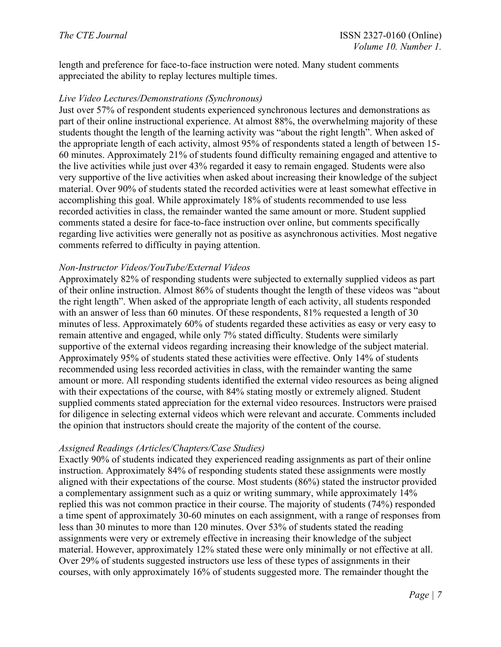length and preference for face-to-face instruction were noted. Many student comments appreciated the ability to replay lectures multiple times.

## *Live Video Lectures/Demonstrations (Synchronous)*

Just over 57% of respondent students experienced synchronous lectures and demonstrations as part of their online instructional experience. At almost 88%, the overwhelming majority of these students thought the length of the learning activity was "about the right length". When asked of the appropriate length of each activity, almost 95% of respondents stated a length of between 15- 60 minutes. Approximately 21% of students found difficulty remaining engaged and attentive to the live activities while just over 43% regarded it easy to remain engaged. Students were also very supportive of the live activities when asked about increasing their knowledge of the subject material. Over 90% of students stated the recorded activities were at least somewhat effective in accomplishing this goal. While approximately 18% of students recommended to use less recorded activities in class, the remainder wanted the same amount or more. Student supplied comments stated a desire for face-to-face instruction over online, but comments specifically regarding live activities were generally not as positive as asynchronous activities. Most negative comments referred to difficulty in paying attention.

## *Non-Instructor Videos/YouTube/External Videos*

Approximately 82% of responding students were subjected to externally supplied videos as part of their online instruction. Almost 86% of students thought the length of these videos was "about the right length". When asked of the appropriate length of each activity, all students responded with an answer of less than 60 minutes. Of these respondents, 81% requested a length of 30 minutes of less. Approximately 60% of students regarded these activities as easy or very easy to remain attentive and engaged, while only 7% stated difficulty. Students were similarly supportive of the external videos regarding increasing their knowledge of the subject material. Approximately 95% of students stated these activities were effective. Only 14% of students recommended using less recorded activities in class, with the remainder wanting the same amount or more. All responding students identified the external video resources as being aligned with their expectations of the course, with 84% stating mostly or extremely aligned. Student supplied comments stated appreciation for the external video resources. Instructors were praised for diligence in selecting external videos which were relevant and accurate. Comments included the opinion that instructors should create the majority of the content of the course.

#### *Assigned Readings (Articles/Chapters/Case Studies)*

Exactly 90% of students indicated they experienced reading assignments as part of their online instruction. Approximately 84% of responding students stated these assignments were mostly aligned with their expectations of the course. Most students (86%) stated the instructor provided a complementary assignment such as a quiz or writing summary, while approximately 14% replied this was not common practice in their course. The majority of students (74%) responded a time spent of approximately 30-60 minutes on each assignment, with a range of responses from less than 30 minutes to more than 120 minutes. Over 53% of students stated the reading assignments were very or extremely effective in increasing their knowledge of the subject material. However, approximately 12% stated these were only minimally or not effective at all. Over 29% of students suggested instructors use less of these types of assignments in their courses, with only approximately 16% of students suggested more. The remainder thought the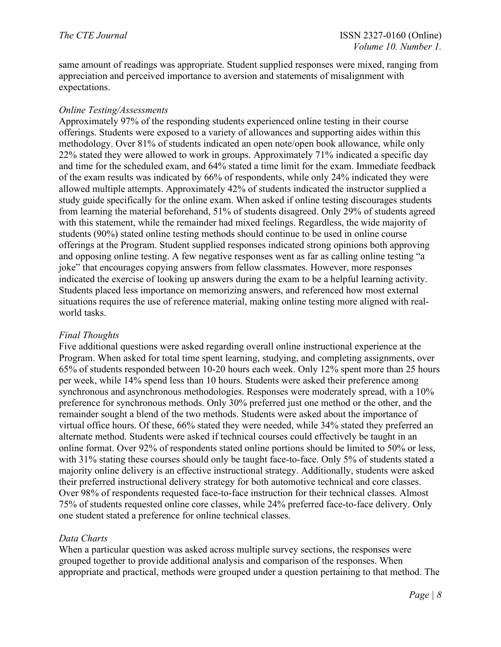same amount of readings was appropriate. Student supplied responses were mixed, ranging from appreciation and perceived importance to aversion and statements of misalignment with expectations.

# *Online Testing/Assessments*

Approximately 97% of the responding students experienced online testing in their course offerings. Students were exposed to a variety of allowances and supporting aides within this methodology. Over 81% of students indicated an open note/open book allowance, while only 22% stated they were allowed to work in groups. Approximately 71% indicated a specific day and time for the scheduled exam, and 64% stated a time limit for the exam. Immediate feedback of the exam results was indicated by 66% of respondents, while only 24% indicated they were allowed multiple attempts. Approximately 42% of students indicated the instructor supplied a study guide specifically for the online exam. When asked if online testing discourages students from learning the material beforehand, 51% of students disagreed. Only 29% of students agreed with this statement, while the remainder had mixed feelings. Regardless, the wide majority of students (90%) stated online testing methods should continue to be used in online course offerings at the Program. Student supplied responses indicated strong opinions both approving and opposing online testing. A few negative responses went as far as calling online testing "a joke" that encourages copying answers from fellow classmates. However, more responses indicated the exercise of looking up answers during the exam to be a helpful learning activity. Students placed less importance on memorizing answers, and referenced how most external situations requires the use of reference material, making online testing more aligned with realworld tasks.

# *Final Thoughts*

Five additional questions were asked regarding overall online instructional experience at the Program. When asked for total time spent learning, studying, and completing assignments, over 65% of students responded between 10-20 hours each week. Only 12% spent more than 25 hours per week, while 14% spend less than 10 hours. Students were asked their preference among synchronous and asynchronous methodologies. Responses were moderately spread, with a 10% preference for synchronous methods. Only 30% preferred just one method or the other, and the remainder sought a blend of the two methods. Students were asked about the importance of virtual office hours. Of these, 66% stated they were needed, while 34% stated they preferred an alternate method. Students were asked if technical courses could effectively be taught in an online format. Over 92% of respondents stated online portions should be limited to 50% or less, with 31% stating these courses should only be taught face-to-face. Only 5% of students stated a majority online delivery is an effective instructional strategy. Additionally, students were asked their preferred instructional delivery strategy for both automotive technical and core classes. Over 98% of respondents requested face-to-face instruction for their technical classes. Almost 75% of students requested online core classes, while 24% preferred face-to-face delivery. Only one student stated a preference for online technical classes.

# *Data Charts*

When a particular question was asked across multiple survey sections, the responses were grouped together to provide additional analysis and comparison of the responses. When appropriate and practical, methods were grouped under a question pertaining to that method. The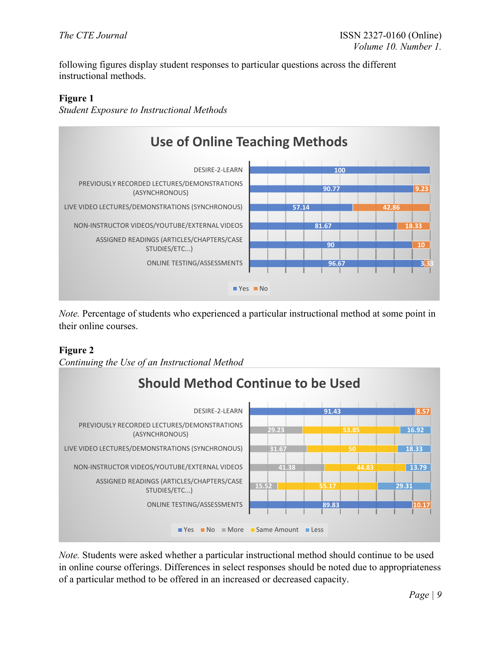following figures display student responses to particular questions across the different instructional methods.

# **Figure 1**

*Student Exposure to Instructional Methods*



*Note.* Percentage of students who experienced a particular instructional method at some point in their online courses.

# **Figure 2**

*Continuing the Use of an Instructional Method*



*Note.* Students were asked whether a particular instructional method should continue to be used in online course offerings. Differences in select responses should be noted due to appropriateness of a particular method to be offered in an increased or decreased capacity.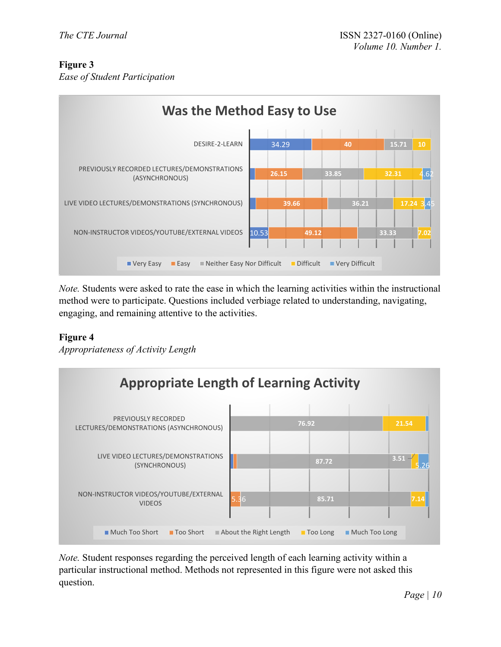# **Figure 3**

*Ease of Student Participation*



*Note.* Students were asked to rate the ease in which the learning activities within the instructional method were to participate. Questions included verbiage related to understanding, navigating, engaging, and remaining attentive to the activities.

# **Figure 4**

*Appropriateness of Activity Length*



*Note.* Student responses regarding the perceived length of each learning activity within a particular instructional method. Methods not represented in this figure were not asked this question.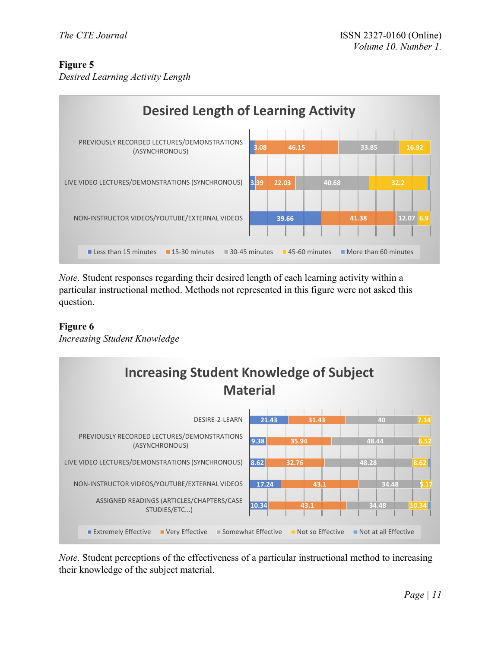# **Figure 5**

*Desired Learning Activity Length*



*Note.* Student responses regarding their desired length of each learning activity within a particular instructional method. Methods not represented in this figure were not asked this question.

# **Figure 6**

*Increasing Student Knowledge*



*Note.* Student perceptions of the effectiveness of a particular instructional method to increasing their knowledge of the subject material.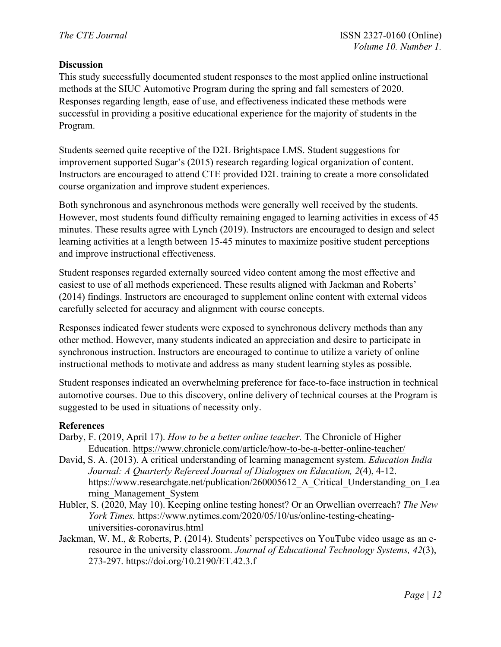# **Discussion**

This study successfully documented student responses to the most applied online instructional methods at the SIUC Automotive Program during the spring and fall semesters of 2020. Responses regarding length, ease of use, and effectiveness indicated these methods were successful in providing a positive educational experience for the majority of students in the Program.

Students seemed quite receptive of the D2L Brightspace LMS. Student suggestions for improvement supported Sugar's (2015) research regarding logical organization of content. Instructors are encouraged to attend CTE provided D2L training to create a more consolidated course organization and improve student experiences.

Both synchronous and asynchronous methods were generally well received by the students. However, most students found difficulty remaining engaged to learning activities in excess of 45 minutes. These results agree with Lynch (2019). Instructors are encouraged to design and select learning activities at a length between 15-45 minutes to maximize positive student perceptions and improve instructional effectiveness.

Student responses regarded externally sourced video content among the most effective and easiest to use of all methods experienced. These results aligned with Jackman and Roberts' (2014) findings. Instructors are encouraged to supplement online content with external videos carefully selected for accuracy and alignment with course concepts.

Responses indicated fewer students were exposed to synchronous delivery methods than any other method. However, many students indicated an appreciation and desire to participate in synchronous instruction. Instructors are encouraged to continue to utilize a variety of online instructional methods to motivate and address as many student learning styles as possible.

Student responses indicated an overwhelming preference for face-to-face instruction in technical automotive courses. Due to this discovery, online delivery of technical courses at the Program is suggested to be used in situations of necessity only.

## **References**

- Darby, F. (2019, April 17). *How to be a better online teacher.* The Chronicle of Higher Education. https://www.chronicle.com/article/how-to-be-a-better-online-teacher/
- David, S. A. (2013). A critical understanding of learning management system. *Education India Journal: A Quarterly Refereed Journal of Dialogues on Education, 2*(4), 4-12. https://www.researchgate.net/publication/260005612 A Critical Understanding on Lea rning\_Management\_System
- Hubler, S. (2020, May 10). Keeping online testing honest? Or an Orwellian overreach? *The New York Times.* https://www.nytimes.com/2020/05/10/us/online-testing-cheatinguniversities-coronavirus.html
- Jackman, W. M., & Roberts, P. (2014). Students' perspectives on YouTube video usage as an eresource in the university classroom. *Journal of Educational Technology Systems, 42*(3), 273-297. https://doi.org/10.2190/ET.42.3.f